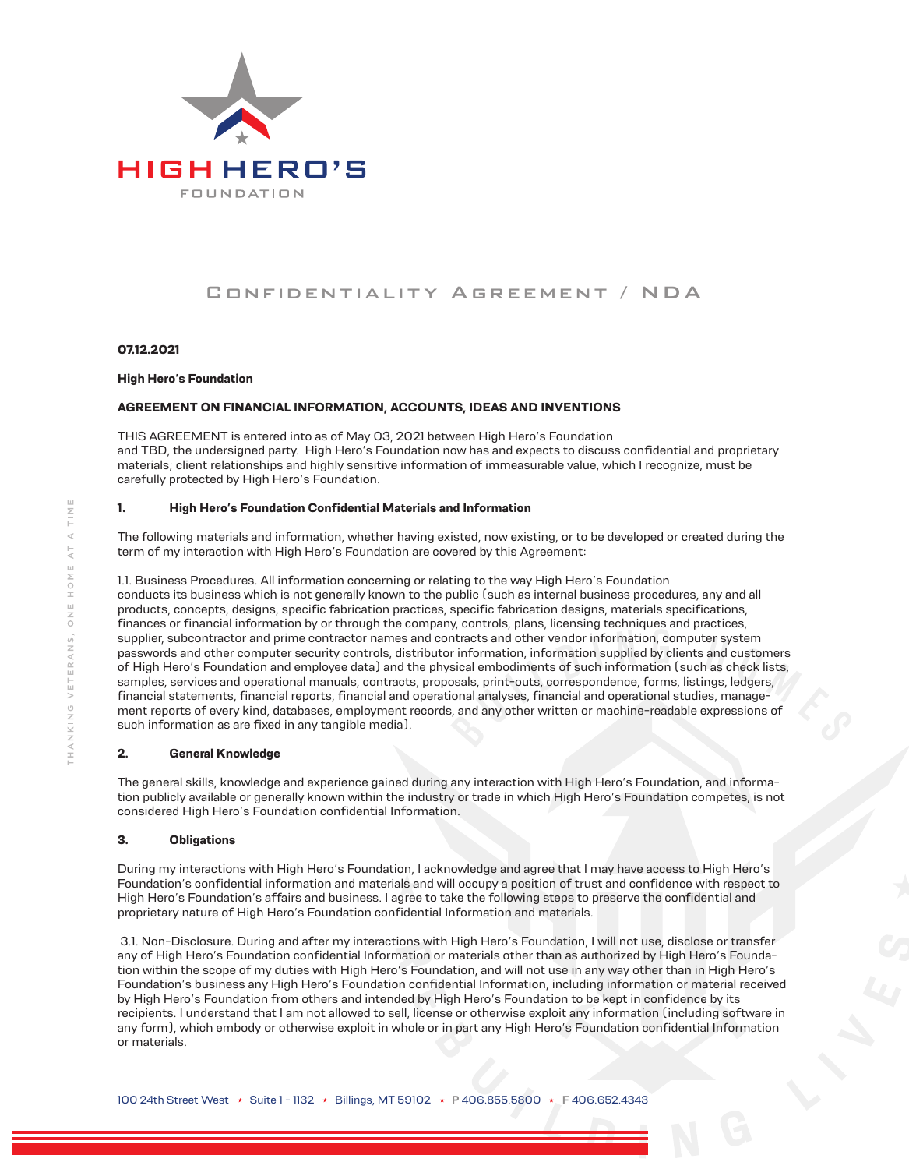

# Confidentiality Agreement / NDA

#### **07.12.2021**

### **High Hero's Foundation**

# **AGREEMENT ON FINANCIAL INFORMATION, ACCOUNTS, IDEAS AND INVENTIONS**

THIS AGREEMENT is entered into as of May 03, 2021 between High Hero's Foundation and TBD, the undersigned party. High Hero's Foundation now has and expects to discuss confidential and proprietary materials; client relationships and highly sensitive information of immeasurable value, which I recognize, must be carefully protected by High Hero's Foundation.

# **1. High Hero's Foundation Confidential Materials and Information**

The following materials and information, whether having existed, now existing, or to be developed or created during the term of my interaction with High Hero's Foundation are covered by this Agreement:

1.1. Business Procedures. All information concerning or relating to the way High Hero's Foundation conducts its business which is not generally known to the public (such as internal business procedures, any and all products, concepts, designs, specific fabrication practices, specific fabrication designs, materials specifications, finances or financial information by or through the company, controls, plans, licensing techniques and practices, supplier, subcontractor and prime contractor names and contracts and other vendor information, computer system passwords and other computer security controls, distributor information, information supplied by clients and customers of High Hero's Foundation and employee data) and the physical embodiments of such information (such as check lists, samples, services and operational manuals, contracts, proposals, print-outs, correspondence, forms, listings, ledgers, financial statements, financial reports, financial and operational analyses, financial and operational studies, management reports of every kind, databases, employment records, and any other written or machine-readable expressions of such information as are fixed in any tangible media).

# **2. General Knowledge**

The general skills, knowledge and experience gained during any interaction with High Hero's Foundation, and information publicly available or generally known within the industry or trade in which High Hero's Foundation competes, is not considered High Hero's Foundation confidential Information.

#### **3. Obligations**

During my interactions with High Hero's Foundation, I acknowledge and agree that I may have access to High Hero's Foundation's confidential information and materials and will occupy a position of trust and confidence with respect to High Hero's Foundation's affairs and business. I agree to take the following steps to preserve the confidential and proprietary nature of High Hero's Foundation confidential Information and materials.

 3.1. Non-Disclosure. During and after my interactions with High Hero's Foundation, I will not use, disclose or transfer any of High Hero's Foundation confidential Information or materials other than as authorized by High Hero's Foundation within the scope of my duties with High Hero's Foundation, and will not use in any way other than in High Hero's Foundation's business any High Hero's Foundation confidential Information, including information or material received by High Hero's Foundation from others and intended by High Hero's Foundation to be kept in confidence by its recipients. I understand that I am not allowed to sell, license or otherwise exploit any information (including software in any form), which embody or otherwise exploit in whole or in part any High Hero's Foundation confidential Information or materials.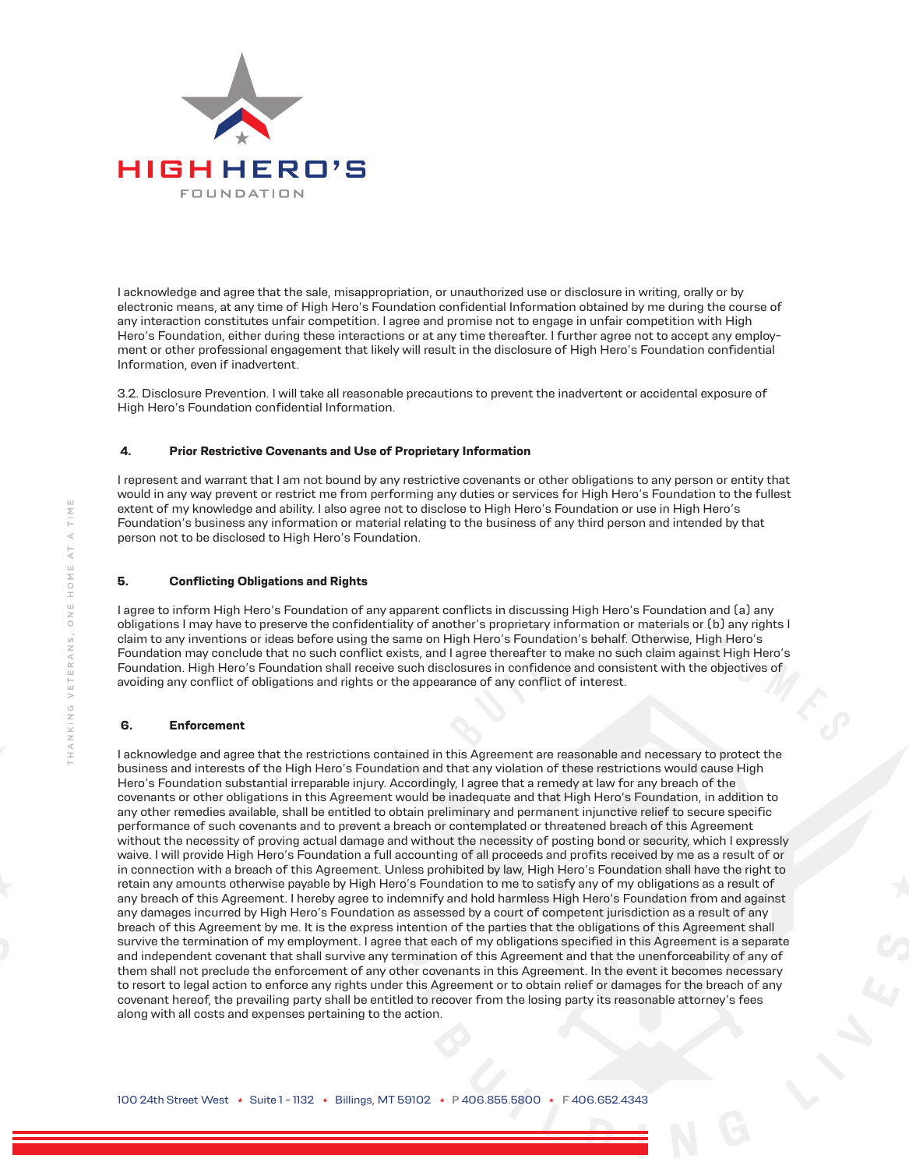

I acknowledge and agree that the sale, misappropriation, or unauthorized use or disclosure in writing, orally or by electronic means, at any time of High Hero's Foundation confidential Information obtained by me during the course of any interaction constitutes unfair competition. I agree and promise not to engage in unfair competition with High Hero's Foundation, either during these interactions or at any time thereafter. I further agree not to accept any employment or other professional engagement that likely will result in the disclosure of High Hero's Foundation confidential Information, even if inadvertent.

3.2. Disclosure Prevention. I will take all reasonable precautions to prevent the inadvertent or accidental exposure of High Hero's Foundation confidential Information.

#### **4. Prior Restrictive Covenants and Use of Proprietary Information**

I represent and warrant that I am not bound by any restrictive covenants or other obligations to any person or entity that would in any way prevent or restrict me from performing any duties or services for High Hero's Foundation to the fullest extent of my knowledge and ability. I also agree not to disclose to High Hero's Foundation or use in High Hero's Foundation's business any information or material relating to the business of any third person and intended by that person not to be disclosed to High Hero's Foundation.

#### **5. Conflicting Obligations and Rights**

I agree to inform High Hero's Foundation of any apparent conflicts in discussing High Hero's Foundation and (a) any obligations I may have to preserve the confidentiality of another's proprietary information or materials or (b) any rights I claim to any inventions or ideas before using the same on High Hero's Foundation's behalf. Otherwise, High Hero's Foundation may conclude that no such conflict exists, and I agree thereafter to make no such claim against High Hero's Foundation. High Hero's Foundation shall receive such disclosures in confidence and consistent with the objectives of avoiding any conflict of obligations and rights or the appearance of any conflict of interest.

#### **6. Enforcement**

I acknowledge and agree that the restrictions contained in this Agreement are reasonable and necessary to protect the business and interests of the High Hero's Foundation and that any violation of these restrictions would cause High Hero's Foundation substantial irreparable injury. Accordingly, I agree that a remedy at law for any breach of the covenants or other obligations in this Agreement would be inadequate and that High Hero's Foundation, in addition to any other remedies available, shall be entitled to obtain preliminary and permanent injunctive relief to secure specific performance of such covenants and to prevent a breach or contemplated or threatened breach of this Agreement without the necessity of proving actual damage and without the necessity of posting bond or security, which I expressly waive. I will provide High Hero's Foundation a full accounting of all proceeds and profits received by me as a result of or in connection with a breach of this Agreement. Unless prohibited by law, High Hero's Foundation shall have the right to retain any amounts otherwise payable by High Hero's Foundation to me to satisfy any of my obligations as a result of any breach of this Agreement. I hereby agree to indemnify and hold harmless High Hero's Foundation from and against any damages incurred by High Hero's Foundation as assessed by a court of competent jurisdiction as a result of any breach of this Agreement by me. It is the express intention of the parties that the obligations of this Agreement shall survive the termination of my employment. I agree that each of my obligations specified in this Agreement is a separate and independent covenant that shall survive any termination of this Agreement and that the unenforceability of any of them shall not preclude the enforcement of any other covenants in this Agreement. In the event it becomes necessary to resort to legal action to enforce any rights under this Agreement or to obtain relief or damages for the breach of any covenant hereof, the prevailing party shall be entitled to recover from the losing party its reasonable attorney's fees along with all costs and expenses pertaining to the action.